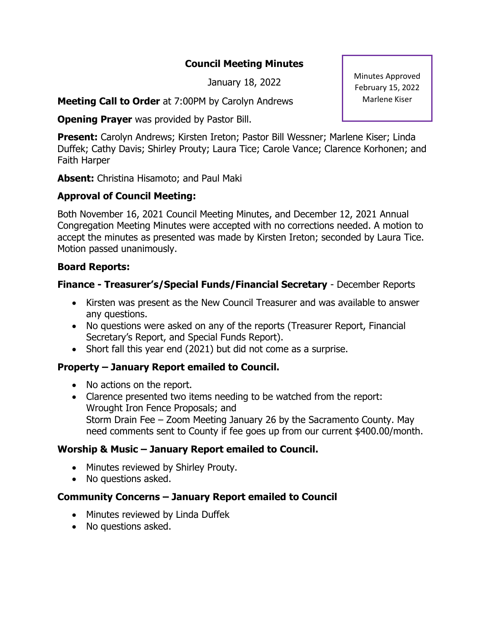### **Council Meeting Minutes**

January 18, 2022

**Meeting Call to Order** at 7:00PM by Carolyn Andrews

**Opening Prayer** was provided by Pastor Bill.

**Present:** Carolyn Andrews; Kirsten Ireton; Pastor Bill Wessner; Marlene Kiser; Linda Duffek; Cathy Davis; Shirley Prouty; Laura Tice; Carole Vance; Clarence Korhonen; and Faith Harper

**Absent:** Christina Hisamoto; and Paul Maki

# **Approval of Council Meeting:**

Both November 16, 2021 Council Meeting Minutes, and December 12, 2021 Annual Congregation Meeting Minutes were accepted with no corrections needed. A motion to accept the minutes as presented was made by Kirsten Ireton; seconded by Laura Tice. Motion passed unanimously.

### **Board Reports:**

### **Finance - Treasurer's/Special Funds/Financial Secretary** - December Reports

- Kirsten was present as the New Council Treasurer and was available to answer any questions.
- No questions were asked on any of the reports (Treasurer Report, Financial Secretary's Report, and Special Funds Report).
- Short fall this year end (2021) but did not come as a surprise.

## **Property – January Report emailed to Council.**

- No actions on the report.
- Clarence presented two items needing to be watched from the report: Wrought Iron Fence Proposals; and Storm Drain Fee – Zoom Meeting January 26 by the Sacramento County. May need comments sent to County if fee goes up from our current \$400.00/month.

#### **Worship & Music – January Report emailed to Council.**

- Minutes reviewed by Shirley Prouty.
- No questions asked.

## **Community Concerns – January Report emailed to Council**

- Minutes reviewed by Linda Duffek
- No questions asked.

Minutes Approved February 15, 2022 Marlene Kiser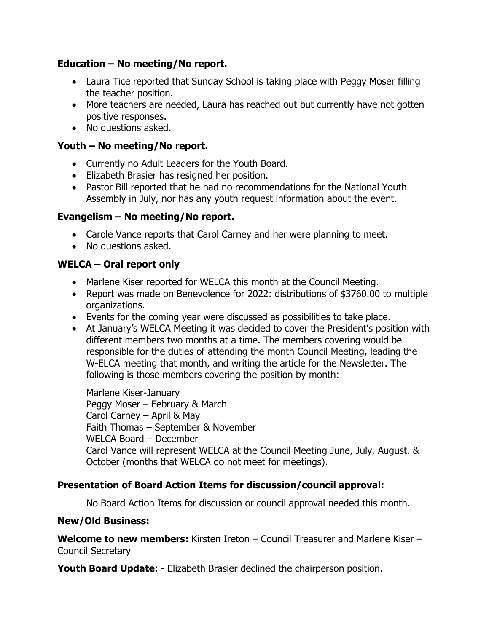### **Education – No meeting/No report.**

- Laura Tice reported that Sunday School is taking place with Peggy Moser filling the teacher position.
- More teachers are needed, Laura has reached out but currently have not gotten positive responses.
- No questions asked.

### **Youth – No meeting/No report.**

- Currently no Adult Leaders for the Youth Board.
- Elizabeth Brasier has resigned her position.
- Pastor Bill reported that he had no recommendations for the National Youth Assembly in July, nor has any youth request information about the event.

## **Evangelism – No meeting/No report.**

- Carole Vance reports that Carol Carney and her were planning to meet.
- No questions asked.

## **WELCA – Oral report only**

- Marlene Kiser reported for WELCA this month at the Council Meeting.
- Report was made on Benevolence for 2022: distributions of \$3760.00 to multiple organizations.
- Events for the coming year were discussed as possibilities to take place.
- At January's WELCA Meeting it was decided to cover the President's position with different members two months at a time. The members covering would be responsible for the duties of attending the month Council Meeting, leading the W-ELCA meeting that month, and writing the article for the Newsletter. The following is those members covering the position by month:

Marlene Kiser-January Peggy Moser – February & March Carol Carney – April & May Faith Thomas – September & November WELCA Board – December Carol Vance will represent WELCA at the Council Meeting June, July, August, & October (months that WELCA do not meet for meetings).

## **Presentation of Board Action Items for discussion/council approval:**

No Board Action Items for discussion or council approval needed this month.

#### **New/Old Business:**

**Welcome to new members:** Kirsten Ireton – Council Treasurer and Marlene Kiser – Council Secretary

**Youth Board Update:** - Elizabeth Brasier declined the chairperson position.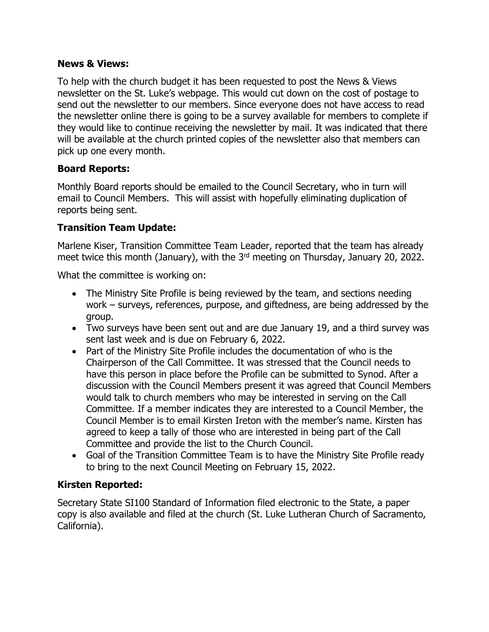#### **News & Views:**

To help with the church budget it has been requested to post the News & Views newsletter on the St. Luke's webpage. This would cut down on the cost of postage to send out the newsletter to our members. Since everyone does not have access to read the newsletter online there is going to be a survey available for members to complete if they would like to continue receiving the newsletter by mail. It was indicated that there will be available at the church printed copies of the newsletter also that members can pick up one every month.

#### **Board Reports:**

Monthly Board reports should be emailed to the Council Secretary, who in turn will email to Council Members. This will assist with hopefully eliminating duplication of reports being sent.

## **Transition Team Update:**

Marlene Kiser, Transition Committee Team Leader, reported that the team has already meet twice this month (January), with the 3<sup>rd</sup> meeting on Thursday, January 20, 2022.

What the committee is working on:

- The Ministry Site Profile is being reviewed by the team, and sections needing work – surveys, references, purpose, and giftedness, are being addressed by the group.
- Two surveys have been sent out and are due January 19, and a third survey was sent last week and is due on February 6, 2022.
- Part of the Ministry Site Profile includes the documentation of who is the Chairperson of the Call Committee. It was stressed that the Council needs to have this person in place before the Profile can be submitted to Synod. After a discussion with the Council Members present it was agreed that Council Members would talk to church members who may be interested in serving on the Call Committee. If a member indicates they are interested to a Council Member, the Council Member is to email Kirsten Ireton with the member's name. Kirsten has agreed to keep a tally of those who are interested in being part of the Call Committee and provide the list to the Church Council.
- Goal of the Transition Committee Team is to have the Ministry Site Profile ready to bring to the next Council Meeting on February 15, 2022.

## **Kirsten Reported:**

Secretary State SI100 Standard of Information filed electronic to the State, a paper copy is also available and filed at the church (St. Luke Lutheran Church of Sacramento, California).